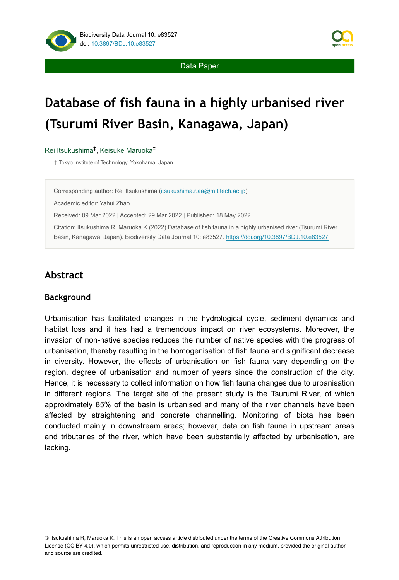Data Paper



# **Database of fish fauna in a highly urbanised river (Tsurumi River Basin, Kanagawa, Japan)**

#### Rei Itsukushima<sup>‡</sup>, Keisuke Maruoka<sup>‡</sup>

‡ Tokyo Institute of Technology, Yokohama, Japan

Corresponding author: Rei Itsukushima ([itsukushima.r.aa@m.titech.ac.jp\)](mailto:itsukushima.r.aa@m.titech.ac.jp)

Academic editor: Yahui Zhao

Received: 09 Mar 2022 | Accepted: 29 Mar 2022 | Published: 18 May 2022

Citation: Itsukushima R, Maruoka K (2022) Database of fish fauna in a highly urbanised river (Tsurumi River Basin, Kanagawa, Japan). Biodiversity Data Journal 10: e83527. <https://doi.org/10.3897/BDJ.10.e83527>

# **Abstract**

#### **Background**

Urbanisation has facilitated changes in the hydrological cycle, sediment dynamics and habitat loss and it has had a tremendous impact on river ecosystems. Moreover, the invasion of non-native species reduces the number of native species with the progress of urbanisation, thereby resulting in the homogenisation of fish fauna and significant decrease in diversity. However, the effects of urbanisation on fish fauna vary depending on the region, degree of urbanisation and number of years since the construction of the city. Hence, it is necessary to collect information on how fish fauna changes due to urbanisation in different regions. The target site of the present study is the Tsurumi River, of which approximately 85% of the basin is urbanised and many of the river channels have been affected by straightening and concrete channelling. Monitoring of biota has been conducted mainly in downstream areas; however, data on fish fauna in upstream areas and tributaries of the river, which have been substantially affected by urbanisation, are lacking.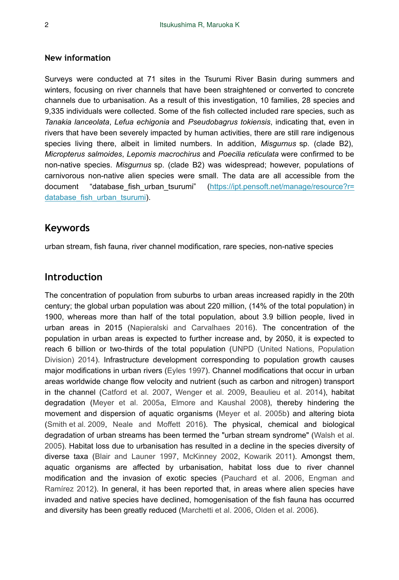#### **New information**

Surveys were conducted at 71 sites in the Tsurumi River Basin during summers and winters, focusing on river channels that have been straightened or converted to concrete channels due to urbanisation. As a result of this investigation, 10 families, 28 species and 9,335 individuals were collected. Some of the fish collected included rare species, such as *Tanakia lanceolata*, *Lefua echigonia* and *Pseudobagrus tokiensis*, indicating that, even in rivers that have been severely impacted by human activities, there are still rare indigenous species living there, albeit in limited numbers. In addition, *Misgurnus* sp. (clade B2), *Micropterus salmoides*, *Lepomis macrochirus* and *Poecilia reticulata* were confirmed to be non-native species. *Misgurnus* sp. (clade B2) was widespread; however, populations of carnivorous non-native alien species were small. The data are all accessible from the document "database\_fish\_urban\_tsurumi" ([https://ipt.pensoft.net/manage/resource?r=](https://ipt.pensoft.net/manage/resource?r=database_fish_urban_tsurumi) database fish urban tsurumi).

#### **Keywords**

urban stream, fish fauna, river channel modification, rare species, non-native species

## **Introduction**

The concentration of population from suburbs to urban areas increased rapidly in the 20th century; the global urban population was about 220 million, (14% of the total population) in 1900, whereas more than half of the total population, about 3.9 billion people, lived in urban areas in 2015 [\(Napieralski and Carvalhaes 2016\)](#page-12-0). The concentration of the population in urban areas is expected to further increase and, by 2050, it is expected to reach 6 billion or two-thirds of the total population ([UNPD \(United Nations, Population](#page-12-1) [Division\) 2014\)](#page-12-1). Infrastructure development corresponding to population growth causes major modifications in urban rivers ([Eyles 1997\)](#page-10-0). Channel modifications that occur in urban areas worldwide change flow velocity and nutrient (such as carbon and nitrogen) transport in the channel [\(Catford et al. 2007,](#page-10-1) [Wenger et al. 2009,](#page-12-2) [Beaulieu et al. 2014](#page-10-2)), habitat degradation ([Meyer et al. 2005a](#page-11-0), [Elmore and Kaushal 2008](#page-10-3)), thereby hindering the movement and dispersion of aquatic organisms [\(Meyer et al. 2005b\)](#page-11-1) and altering biota [\(Smith et al. 2009,](#page-12-3) [Neale and Moffett 2016](#page-12-4)). The physical, chemical and biological degradation of urban streams has been termed the "urban stream syndrome" ([Walsh et al.](#page-12-5) [2005](#page-12-5)). Habitat loss due to urbanisation has resulted in a decline in the species diversity of diverse taxa [\(Blair and Launer 1997,](#page-10-4) [McKinney 2002,](#page-11-2) [Kowarik 2011](#page-11-3)). Amongst them, aquatic organisms are affected by urbanisation, habitat loss due to river channel modification and the invasion of exotic species [\(Pauchard et al. 2006,](#page-12-6) [Engman and](#page-10-5) [Ramírez 2012](#page-10-5)). In general, it has been reported that, in areas where alien species have invaded and native species have declined, homogenisation of the fish fauna has occurred and diversity has been greatly reduced ([Marchetti et al. 2006](#page-11-4), [Olden et al. 2006\)](#page-12-7).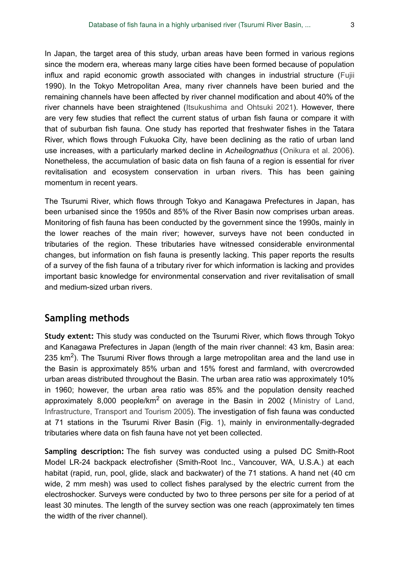In Japan, the target area of this study, urban areas have been formed in various regions since the modern era, whereas many large cities have been formed because of population influx and rapid economic growth associated with changes in industrial structure ([Fujii](#page-10-6) 1990). In the Tokyo Metropolitan Area, many river channels have been buried and the remaining channels have been affected by river channel modification and about 40% of the river channels have been straightened [\(Itsukushima and Ohtsuki 2021\)](#page-11-5). However, there are very few studies that reflect the current status of urban fish fauna or compare it with that of suburban fish fauna. One study has reported that freshwater fishes in the Tatara River, which flows through Fukuoka City, have been declining as the ratio of urban land use increases, with a particularly marked decline in *Acheilognathus* ([Onikura et al. 2006\)](#page-12-8). Nonetheless, the accumulation of basic data on fish fauna of a region is essential for river revitalisation and ecosystem conservation in urban rivers. This has been gaining momentum in recent years.

The Tsurumi River, which flows through Tokyo and Kanagawa Prefectures in Japan, has been urbanised since the 1950s and 85% of the River Basin now comprises urban areas. Monitoring of fish fauna has been conducted by the government since the 1990s, mainly in the lower reaches of the main river; however, surveys have not been conducted in tributaries of the region. These tributaries have witnessed considerable environmental changes, but information on fish fauna is presently lacking. This paper reports the results of a survey of the fish fauna of a tributary river for which information is lacking and provides important basic knowledge for environmental conservation and river revitalisation of small and medium-sized urban rivers.

## **Sampling methods**

**Study extent:** This study was conducted on the Tsurumi River, which flows through Tokyo and Kanagawa Prefectures in Japan (length of the main river channel: 43 km, Basin area: 235  $km<sup>2</sup>$ ). The Tsurumi River flows through a large metropolitan area and the land use in the Basin is approximately 85% urban and 15% forest and farmland, with overcrowded urban areas distributed throughout the Basin. The urban area ratio was approximately 10% in 1960; however, the urban area ratio was 85% and the population density reached approximately 8,000 people/km<sup>2</sup> on average in the Basin in 2002 ([Ministry of Land,](#page-11-6) [Infrastructure, Transport and Tourism 2005](#page-11-6)). The investigation of fish fauna was conducted at 71 stations in the Tsurumi River Basin (Fig. [1](#page-3-0)), mainly in environmentally-degraded tributaries where data on fish fauna have not yet been collected.

**Sampling description:** The fish survey was conducted using a pulsed DC Smith-Root Model LR-24 backpack electrofisher (Smith-Root Inc., Vancouver, WA, U.S.A.) at each habitat (rapid, run, pool, glide, slack and backwater) of the 71 stations. A hand net (40 cm wide, 2 mm mesh) was used to collect fishes paralysed by the electric current from the electroshocker. Surveys were conducted by two to three persons per site for a period of at least 30 minutes. The length of the survey section was one reach (approximately ten times the width of the river channel).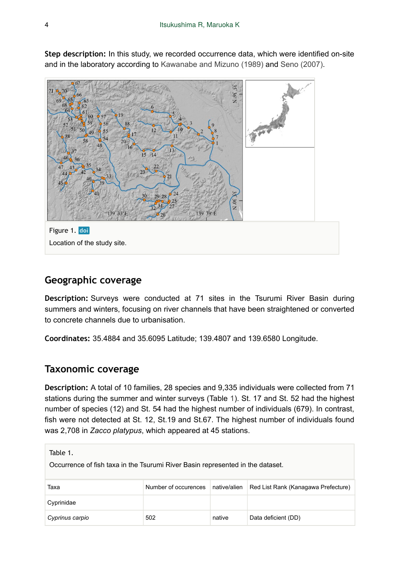<span id="page-3-0"></span>

**Step description:** In this study, we recorded occurrence data, which were identified on-site and in the laboratory according to [Kawanabe and Mizuno \(1989\)](#page-11-7) and [Seno \(2007\)](#page-12-9).

# **Geographic coverage**

**Description:** Surveys were conducted at 71 sites in the Tsurumi River Basin during summers and winters, focusing on river channels that have been straightened or converted to concrete channels due to urbanisation.

**Coordinates:** 35.4884 and 35.6095 Latitude; 139.4807 and 139.6580 Longitude.

## **Taxonomic coverage**

**Description:** A total of 10 families, 28 species and 9,335 individuals were collected from 71 stations during the summer and winter surveys (Table [1\)](#page-3-1). St. 17 and St. 52 had the highest number of species (12) and St. 54 had the highest number of individuals (679). In contrast, fish were not detected at St. 12, St.19 and St.67. The highest number of individuals found was 2,708 in *Zacco platypus*, which appeared at 45 stations.

<span id="page-3-1"></span>

| Table 1.<br>Occurrence of fish taxa in the Tsurumi River Basin represented in the dataset. |                      |              |                                     |
|--------------------------------------------------------------------------------------------|----------------------|--------------|-------------------------------------|
| Таха                                                                                       | Number of occurences | native/alien | Red List Rank (Kanagawa Prefecture) |
| Cyprinidae                                                                                 |                      |              |                                     |
| Cyprinus carpio                                                                            | 502                  | native       | Data deficient (DD)                 |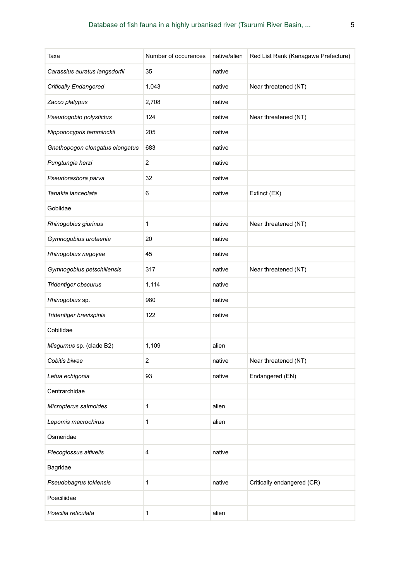| Taxa                            | Number of occurences | native/alien | Red List Rank (Kanagawa Prefecture) |
|---------------------------------|----------------------|--------------|-------------------------------------|
| Carassius auratus langsdorfii   | 35                   | native       |                                     |
| <b>Critically Endangered</b>    | 1,043                | native       | Near threatened (NT)                |
| Zacco platypus                  | 2,708                | native       |                                     |
| Pseudogobio polystictus         | 124                  | native       | Near threatened (NT)                |
| Nipponocypris temminckii        | 205                  | native       |                                     |
| Gnathopogon elongatus elongatus | 683                  | native       |                                     |
| Pungtungia herzi                | 2                    | native       |                                     |
| Pseudorasbora parva             | 32                   | native       |                                     |
| Tanakia lanceolata              | 6                    | native       | Extinct (EX)                        |
| Gobiidae                        |                      |              |                                     |
| Rhinogobius giurinus            | 1                    | native       | Near threatened (NT)                |
| Gymnogobius urotaenia           | 20                   | native       |                                     |
| Rhinogobius nagoyae             | 45                   | native       |                                     |
| Gymnogobius petschiliensis      | 317                  | native       | Near threatened (NT)                |
| Tridentiger obscurus            | 1,114                | native       |                                     |
| Rhinogobius sp.                 | 980                  | native       |                                     |
| Tridentiger brevispinis         | 122                  | native       |                                     |
| Cobitidae                       |                      |              |                                     |
| Misgurnus sp. (clade B2)        | 1,109                | alien        |                                     |
| Cobitis biwae                   | 2                    | native       | Near threatened (NT)                |
| Lefua echigonia                 | 93                   | native       | Endangered (EN)                     |
| Centrarchidae                   |                      |              |                                     |
| Micropterus salmoides           | 1                    | alien        |                                     |
| Lepomis macrochirus             | 1                    | alien        |                                     |
| Osmeridae                       |                      |              |                                     |
| Plecoglossus altivelis          | 4                    | native       |                                     |
| Bagridae                        |                      |              |                                     |
| Pseudobagrus tokiensis          | 1                    | native       | Critically endangered (CR)          |
| Poeciliidae                     |                      |              |                                     |
| Poecilia reticulata             | 1                    | alien        |                                     |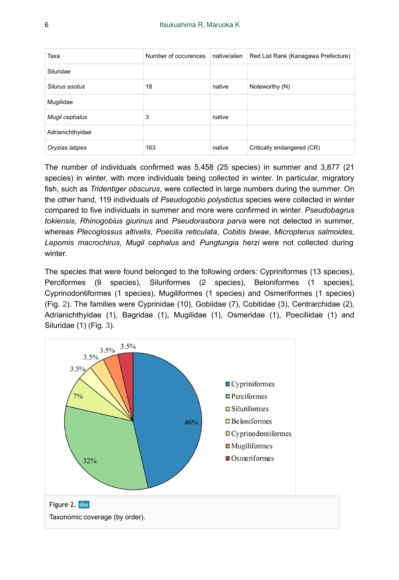| Taxa             | Number of occurences | native/alien | Red List Rank (Kanagawa Prefecture) |
|------------------|----------------------|--------------|-------------------------------------|
| Siluridae        |                      |              |                                     |
| Silurus asotus   | 18                   | native       | Noteworthy (N)                      |
| Mugilidae        |                      |              |                                     |
| Mugil cephalus   | 3                    | native       |                                     |
| Adrianichthyidae |                      |              |                                     |
| Oryzias latipes  | 163                  | native       | Critically endangered (CR)          |

The number of individuals confirmed was 5,458 (25 species) in summer and 3,877 (21 species) in winter, with more individuals being collected in winter. In particular, migratory fish, such as *Tridentiger obscurus*, were collected in large numbers during the summer. On the other hand, 119 individuals of *Pseudogobio polystictus* species were collected in winter compared to five individuals in summer and more were confirmed in winter. *Pseudobagrus tokiensis*, *Rhinogobius giurinus* and *Pseudorasbora parva* were not detected in summer, whereas *Plecoglossus altivelis*, *Poecilia reticulata*, *Cobitis biwae*, *Micropterus salmoides*, *Lepomis macrochirus*, *Mugil cephalus* and *Pungtungia herzi* were not collected during winter.

The species that were found belonged to the following orders: Cypriniformes (13 species), Perciformes (9 species), Siluriformes (2 species), Beloniformes (1 species), Cyprinodontiformes (1 species), Mugiliformes (1 species) and Osmeriformes (1 species) (Fig. [2](#page-5-0)). The families were Cyprinidae (10), Gobiidae (7), Cobitidae (3), Centrarchidae (2), Adrianichthyidae (1), Bagridae (1), Mugilidae (1), Osmeridae (1), Poeciliidae (1) and Siluridae (1) (Fig. [3\)](#page-6-0).

<span id="page-5-0"></span>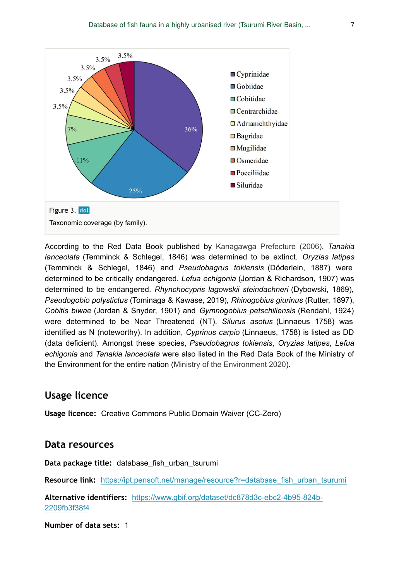<span id="page-6-0"></span>

According to the Red Data Book published by [Kanagawga Prefecture \(2006\)](#page-11-8), *Tanakia lanceolata* (Temminck & Schlegel, 1846) was determined to be extinct. *Oryzias latipes* (Temminck & Schlegel, 1846) and *Pseudobagrus tokiensis* (Döderlein, 1887) were determined to be critically endangered. *Lefua echigonia* (Jordan & Richardson, 1907) was determined to be endangered. *Rhynchocypris lagowskii steindachneri* (Dybowski, 1869), *Pseudogobio polystictus* (Tominaga & Kawase, 2019), *Rhinogobius giurinus* (Rutter, 1897), *Cobitis biwae* (Jordan & Snyder, 1901) and *Gymnogobius petschiliensis* (Rendahl, 1924) were determined to be Near Threatened (NT). *Silurus asotus* (Linnaeus 1758) was identified as N (noteworthy). In addition, *Cyprinus carpio* (Linnaeus, 1758) is listed as DD (data deficient). Amongst these species, *Pseudobagrus tokiensis*, *Oryzias latipes*, *Lefua echigonia* and *Tanakia lanceolata* were also listed in the Red Data Book of the Ministry of the Environment for the entire nation ([Ministry of the Environment 2020](#page-11-9)).

## **Usage licence**

**Usage licence:** Creative Commons Public Domain Waiver (CC-Zero)

#### **Data resources**

**Data package title:** database\_fish\_urban\_tsurumi

**Resource link:** [https://ipt.pensoft.net/manage/resource?r=database\\_fish\\_urban\\_tsurumi](https://ipt.pensoft.net/manage/resource?r=database_fish_urban_tsurumi)

**Alternative identifiers:** [https://www.gbif.org/dataset/dc878d3c-ebc2-4b95-824b-](https://www.gbif.org/dataset/dc878d3c-ebc2-4b95-824b-2209fb3f38f4)[2209fb3f38f4](https://www.gbif.org/dataset/dc878d3c-ebc2-4b95-824b-2209fb3f38f4)

**Number of data sets:** 1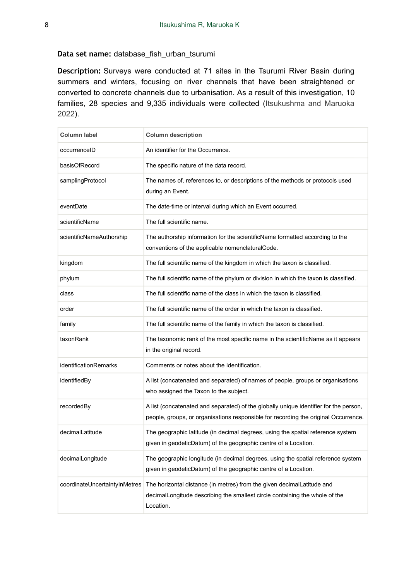#### **Data set name:** database\_fish\_urban\_tsurumi

**Description:** Surveys were conducted at 71 sites in the Tsurumi River Basin during summers and winters, focusing on river channels that have been straightened or converted to concrete channels due to urbanisation. As a result of this investigation, 10 families, 28 species and 9,335 individuals were collected ([Itsukushma and Maruoka](#page-11-10) [2022](#page-11-10)).

| Column label                  | <b>Column description</b>                                                                                                                                                    |
|-------------------------------|------------------------------------------------------------------------------------------------------------------------------------------------------------------------------|
| occurrenceID                  | An identifier for the Occurrence.                                                                                                                                            |
| basisOfRecord                 | The specific nature of the data record.                                                                                                                                      |
| samplingProtocol              | The names of, references to, or descriptions of the methods or protocols used<br>during an Event.                                                                            |
| eventDate                     | The date-time or interval during which an Event occurred.                                                                                                                    |
| scientificName                | The full scientific name.                                                                                                                                                    |
| scientificNameAuthorship      | The authorship information for the scientificName formatted according to the<br>conventions of the applicable nomenclaturalCode.                                             |
| kingdom                       | The full scientific name of the kingdom in which the taxon is classified.                                                                                                    |
| phylum                        | The full scientific name of the phylum or division in which the taxon is classified.                                                                                         |
| class                         | The full scientific name of the class in which the taxon is classified.                                                                                                      |
| order                         | The full scientific name of the order in which the taxon is classified.                                                                                                      |
| family                        | The full scientific name of the family in which the taxon is classified.                                                                                                     |
| taxonRank                     | The taxonomic rank of the most specific name in the scientificName as it appears<br>in the original record.                                                                  |
| <b>identificationRemarks</b>  | Comments or notes about the Identification.                                                                                                                                  |
| identifiedBy                  | A list (concatenated and separated) of names of people, groups or organisations<br>who assigned the Taxon to the subject.                                                    |
| recordedBy                    | A list (concatenated and separated) of the globally unique identifier for the person,<br>people, groups, or organisations responsible for recording the original Occurrence. |
| decimalLatitude               | The geographic latitude (in decimal degrees, using the spatial reference system<br>given in geodeticDatum) of the geographic centre of a Location.                           |
| decimalLongitude              | The geographic longitude (in decimal degrees, using the spatial reference system<br>given in geodeticDatum) of the geographic centre of a Location.                          |
| coordinateUncertaintyInMetres | The horizontal distance (in metres) from the given decimal Latitude and<br>decimalLongitude describing the smallest circle containing the whole of the<br>Location.          |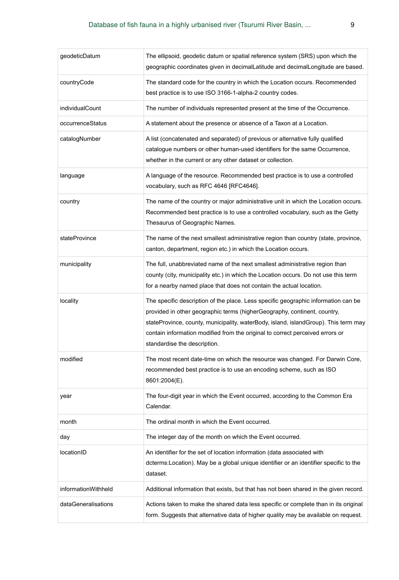| geodeticDatum       | The ellipsoid, geodetic datum or spatial reference system (SRS) upon which the<br>geographic coordinates given in decimalLatitude and decimalLongitude are based.                                                                                                                                                                                                      |
|---------------------|------------------------------------------------------------------------------------------------------------------------------------------------------------------------------------------------------------------------------------------------------------------------------------------------------------------------------------------------------------------------|
| countryCode         | The standard code for the country in which the Location occurs. Recommended<br>best practice is to use ISO 3166-1-alpha-2 country codes.                                                                                                                                                                                                                               |
| individualCount     | The number of individuals represented present at the time of the Occurrence.                                                                                                                                                                                                                                                                                           |
| occurrenceStatus    | A statement about the presence or absence of a Taxon at a Location.                                                                                                                                                                                                                                                                                                    |
| catalogNumber       | A list (concatenated and separated) of previous or alternative fully qualified<br>catalogue numbers or other human-used identifiers for the same Occurrence,<br>whether in the current or any other dataset or collection.                                                                                                                                             |
| language            | A language of the resource. Recommended best practice is to use a controlled<br>vocabulary, such as RFC 4646 [RFC4646].                                                                                                                                                                                                                                                |
| country             | The name of the country or major administrative unit in which the Location occurs.<br>Recommended best practice is to use a controlled vocabulary, such as the Getty<br>Thesaurus of Geographic Names.                                                                                                                                                                 |
| stateProvince       | The name of the next smallest administrative region than country (state, province,<br>canton, department, region etc.) in which the Location occurs.                                                                                                                                                                                                                   |
| municipality        | The full, unabbreviated name of the next smallest administrative region than<br>county (city, municipality etc.) in which the Location occurs. Do not use this term<br>for a nearby named place that does not contain the actual location.                                                                                                                             |
| locality            | The specific description of the place. Less specific geographic information can be<br>provided in other geographic terms (higherGeography, continent, country,<br>stateProvince, county, municipality, waterBody, island, islandGroup). This term may<br>contain information modified from the original to correct perceived errors or<br>standardise the description. |
| modified            | The most recent date-time on which the resource was changed. For Darwin Core,<br>recommended best practice is to use an encoding scheme, such as ISO<br>8601:2004(E).                                                                                                                                                                                                  |
| year                | The four-digit year in which the Event occurred, according to the Common Era<br>Calendar.                                                                                                                                                                                                                                                                              |
| month               | The ordinal month in which the Event occurred.                                                                                                                                                                                                                                                                                                                         |
| day                 | The integer day of the month on which the Event occurred.                                                                                                                                                                                                                                                                                                              |
| locationID          | An identifier for the set of location information (data associated with<br>dcterms: Location). May be a global unique identifier or an identifier specific to the<br>dataset.                                                                                                                                                                                          |
| informationWithheld | Additional information that exists, but that has not been shared in the given record.                                                                                                                                                                                                                                                                                  |
| dataGeneralisations | Actions taken to make the shared data less specific or complete than in its original<br>form. Suggests that alternative data of higher quality may be available on request.                                                                                                                                                                                            |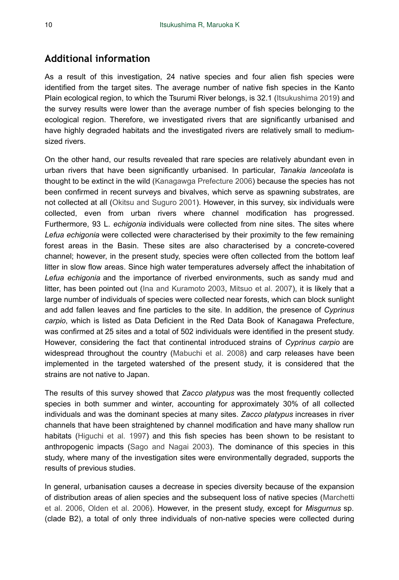## **Additional information**

As a result of this investigation, 24 native species and four alien fish species were identified from the target sites. The average number of native fish species in the Kanto Plain ecological region, to which the Tsurumi River belongs, is 32.1 [\(Itsukushima 2019\)](#page-11-11) and the survey results were lower than the average number of fish species belonging to the ecological region. Therefore, we investigated rivers that are significantly urbanised and have highly degraded habitats and the investigated rivers are relatively small to mediumsized rivers.

On the other hand, our results revealed that rare species are relatively abundant even in urban rivers that have been significantly urbanised. In particular, *Tanakia lanceolata* is thought to be extinct in the wild ([Kanagawga Prefecture 2006\)](#page-11-8) because the species has not been confirmed in recent surveys and bivalves, which serve as spawning substrates, are not collected at all ([Okitsu and Suguro 2001\)](#page-12-10). However, in this survey, six individuals were collected, even from urban rivers where channel modification has progressed. Furthermore, 93 L. *echigonia* individuals were collected from nine sites. The sites where *Lefua echigonia* were collected were characterised by their proximity to the few remaining forest areas in the Basin. These sites are also characterised by a concrete-covered channel; however, in the present study, species were often collected from the bottom leaf litter in slow flow areas. Since high water temperatures adversely affect the inhabitation of *Lefua echigonia* and the importance of riverbed environments, such as sandy mud and litter, has been pointed out [\(Ina and Kuramoto 2003,](#page-11-12) [Mitsuo et al. 2007\)](#page-11-13), it is likely that a large number of individuals of species were collected near forests, which can block sunlight and add fallen leaves and fine particles to the site. In addition, the presence of *Cyprinus carpio*, which is listed as Data Deficient in the Red Data Book of Kanagawa Prefecture, was confirmed at 25 sites and a total of 502 individuals were identified in the present study. However, considering the fact that continental introduced strains of *Cyprinus carpio* are widespread throughout the country ([Mabuchi et al. 2008\)](#page-11-14) and carp releases have been implemented in the targeted watershed of the present study, it is considered that the strains are not native to Japan.

The results of this survey showed that *Zacco platypus* was the most frequently collected species in both summer and winter, accounting for approximately 30% of all collected individuals and was the dominant species at many sites. *Zacco platypus* increases in river channels that have been straightened by channel modification and have many shallow run habitats [\(Higuchi et al. 1997](#page-11-15)) and this fish species has been shown to be resistant to anthropogenic impacts ([Sago and Nagai 2003\)](#page-12-11). The dominance of this species in this study, where many of the investigation sites were environmentally degraded, supports the results of previous studies.

In general, urbanisation causes a decrease in species diversity because of the expansion of distribution areas of alien species and the subsequent loss of native species [\(Marchetti](#page-11-4) [et al. 2006,](#page-11-4) [Olden et al. 2006](#page-12-7)). However, in the present study, except for *Misgurnus* sp. (clade B2), a total of only three individuals of non-native species were collected during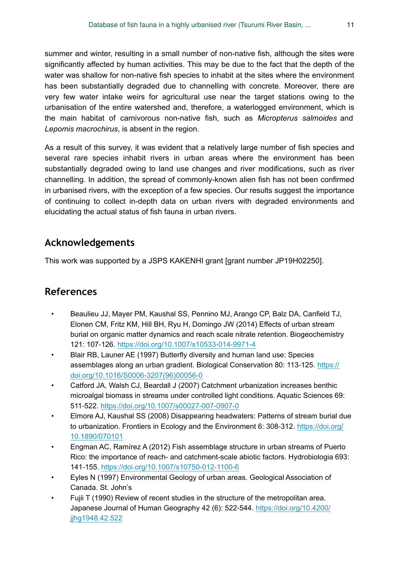summer and winter, resulting in a small number of non-native fish, although the sites were significantly affected by human activities. This may be due to the fact that the depth of the water was shallow for non-native fish species to inhabit at the sites where the environment has been substantially degraded due to channelling with concrete. Moreover, there are very few water intake weirs for agricultural use near the target stations owing to the urbanisation of the entire watershed and, therefore, a waterlogged environment, which is the main habitat of carnivorous non-native fish, such as *Micropterus salmoides* and *Lepomis macrochirus*, is absent in the region.

As a result of this survey, it was evident that a relatively large number of fish species and several rare species inhabit rivers in urban areas where the environment has been substantially degraded owing to land use changes and river modifications, such as river channelling. In addition, the spread of commonly-known alien fish has not been confirmed in urbanised rivers, with the exception of a few species. Our results suggest the importance of continuing to collect in-depth data on urban rivers with degraded environments and elucidating the actual status of fish fauna in urban rivers.

# **Acknowledgements**

This work was supported by a JSPS KAKENHI grant [grant number JP19H02250].

# **References**

- <span id="page-10-2"></span>• Beaulieu JJ, Mayer PM, Kaushal SS, Pennino MJ, Arango CP, Balz DA, Canfield TJ, Elonen CM, Fritz KM, Hill BH, Ryu H, Domingo JW (2014) Effects of urban stream burial on organic matter dynamics and reach scale nitrate retention. Biogeochemistry 121: 107‑126. <https://doi.org/10.1007/s10533-014-9971-4>
- <span id="page-10-4"></span>• Blair RB, Launer AE (1997) Butterfly diversity and human land use: Species assemblages along an urban gradient. Biological Conservation 80: 113‑125. [https://](https://doi.org/10.1016/S0006-3207(96)00056-0) [doi.org/10.1016/S0006-3207\(96\)00056-0](https://doi.org/10.1016/S0006-3207(96)00056-0)
- <span id="page-10-1"></span>Catford JA, Walsh CJ, Beardall J (2007) Catchment urbanization increases benthic microalgal biomass in streams under controlled light conditions. Aquatic Sciences 69: 511‑522. <https://doi.org/10.1007/s00027-007-0907-0>
- <span id="page-10-3"></span>• Elmore AJ, Kaushal SS (2008) Disappearing headwaters: Patterns of stream burial due to urbanization. Frontiers in Ecology and the Environment 6: 308‑312. [https://doi.org/](https://doi.org/10.1890/070101) [10.1890/070101](https://doi.org/10.1890/070101)
- <span id="page-10-5"></span>• Engman AC, Ramírez A (2012) Fish assemblage structure in urban streams of Puerto Rico: the importance of reach- and catchment-scale abiotic factors. Hydrobiologia 693: 141‑155. <https://doi.org/10.1007/s10750-012-1100-6>
- <span id="page-10-0"></span>• Eyles N (1997) Environmental Geology of urban areas. Geological Association of Canada. St. John's
- <span id="page-10-6"></span>• Fujii T (1990) Review of recent studies in the structure of the metropolitan area. Japanese Journal of Human Geography 42 (6): 522‑544. [https://doi.org/10.4200/](https://doi.org/10.4200/jjhg1948.42.522) [jjhg1948.42.522](https://doi.org/10.4200/jjhg1948.42.522)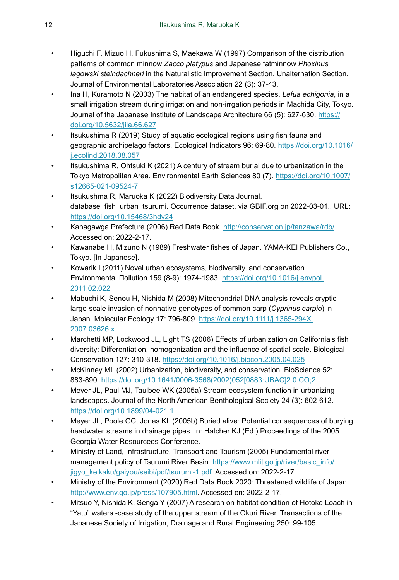- <span id="page-11-15"></span>• Higuchi F, Mizuo H, Fukushima S, Maekawa W (1997) Comparison of the distribution patterns of common minnow *Zacco platypus* and Japanese fatminnow *Phoxinus lagowski steindachneri* in the Naturalistic Improvement Section, Unalternation Section. Journal of Environmental Laboratories Association 22 (3): 37‑43.
- <span id="page-11-12"></span>• Ina H, Kuramoto N (2003) The habitat of an endangered species, *Lefua echigonia*, in a small irrigation stream during irrigation and non-irrgation periods in Machida City, Tokyo. Journal of the Japanese Institute of Landscape Architecture 66 (5): 627-630. [https://](https://doi.org/10.5632/jila.66.627) [doi.org/10.5632/jila.66.627](https://doi.org/10.5632/jila.66.627)
- <span id="page-11-11"></span>• Itsukushima R (2019) Study of aquatic ecological regions using fish fauna and geographic archipelago factors. Ecological Indicators 96: 69‑80. [https://doi.org/10.1016/](https://doi.org/10.1016/j.ecolind.2018.08.057) [j.ecolind.2018.08.057](https://doi.org/10.1016/j.ecolind.2018.08.057)
- <span id="page-11-5"></span>• Itsukushima R, Ohtsuki K (2021) A century of stream burial due to urbanization in the Tokyo Metropolitan Area. Environmental Earth Sciences 80 (7). [https://doi.org/10.1007/](https://doi.org/10.1007/s12665-021-09524-7) [s12665-021-09524-7](https://doi.org/10.1007/s12665-021-09524-7)
- <span id="page-11-10"></span>• Itsukushma R, Maruoka K (2022) Biodiversity Data Journal. database\_fish\_urban\_tsurumi. Occurrence dataset. via GBIF.org on 2022-03-01.. URL: <https://doi.org/10.15468/3hdv24>
- <span id="page-11-8"></span>• Kanagawga Prefecture (2006) Red Data Book. [http://conservation.jp/tanzawa/rdb/.](http://conservation.jp/tanzawa/rdb/) Accessed on: 2022-2-17.
- <span id="page-11-7"></span>• Kawanabe H, Mizuno N (1989) Freshwater fishes of Japan. YAMA-KEI Publishers Co., Tokyo. [In Japanese].
- <span id="page-11-3"></span>• Kowarik I (2011) Novel urban ecosystems, biodiversity, and conservation. Environmental Пollution 159 (8-9): 1974‑1983. [https://doi.org/10.1016/j.envpol.](https://doi.org/10.1016/j.envpol.2011.02.022) [2011.02.022](https://doi.org/10.1016/j.envpol.2011.02.022)
- <span id="page-11-14"></span>• Mabuchi K, Senou H, Nishida M (2008) Mitochondrial DNA analysis reveals cryptic large-scale invasion of nonnative genotypes of common carp (*Cyprinus carpio*) in Japan. Molecular Ecology 17: 796‑809. [https://doi.org/10.1111/j.1365-294X.](https://doi.org/10.1111/j.1365-294X.2007.03626.x) [2007.03626.x](https://doi.org/10.1111/j.1365-294X.2007.03626.x)
- <span id="page-11-4"></span>• Marchetti MP, Lockwood JL, Light TS (2006) Effects of urbanization on California's fish diversity: Differentiation, homogenization and the influence of spatial scale. Biological Conservation 127: 310‑318.<https://doi.org/10.1016/j.biocon.2005.04.025>
- <span id="page-11-2"></span>• McKinney ML (2002) Urbanization, biodiversity, and conservation. BioScience 52: 883‑890. [https://doi.org/10.1641/0006-3568\(2002\)052\[0883:UBAC\]2.0.CO;2](https://doi.org/10.1641/0006-3568(2002)052%5B0883:UBAC%5D2.0.CO;2)
- <span id="page-11-0"></span>• Meyer JL, Paul MJ, Taulbee WK (2005a) Stream ecosystem function in urbanizing landscapes. Journal of the North American Benthological Society 24 (3): 602‑612. <https://doi.org/10.1899/04-021.1>
- <span id="page-11-1"></span>• Meyer JL, Poole GC, Jones KL (2005b) Buried alive: Potential consequences of burying headwater streams in drainage pipes. In: Hatcher KJ (Ed.) Proceedings of the 2005 Georgia Water Resourcees Conference.
- <span id="page-11-6"></span>• Ministry of Land, Infrastructure, Transport and Tourism (2005) Fundamental river management policy of Tsurumi River Basin. [https://www.mlit.go.jp/river/basic\\_info/](https://www.mlit.go.jp/river/basic_info/jigyo_keikaku/gaiyou/seibi/pdf/tsurumi-1.pdf) [jigyo\\_keikaku/gaiyou/seibi/pdf/tsurumi-1.pdf.](https://www.mlit.go.jp/river/basic_info/jigyo_keikaku/gaiyou/seibi/pdf/tsurumi-1.pdf) Accessed on: 2022-2-17.
- <span id="page-11-9"></span>• Ministry of the Environment (2020) Red Data Book 2020: Threatened wildlife of Japan. <http://www.env.go.jp/press/107905.html>. Accessed on: 2022-2-17.
- <span id="page-11-13"></span>• Mitsuo Y, Nishida K, Senga Y (2007) A research on habitat condition of Hotoke Loach in "Yatu" waters -case study of the upper stream of the Okuri River. Transactions of the Japanese Society of Irrigation, Drainage and Rural Engineering 250: 99-105.